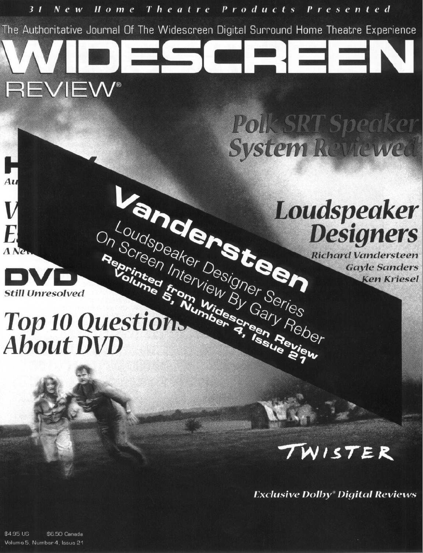

# Top 10 Questions **About DVD**

# WISTER

**Exclusive Dolby<sup>®</sup> Digital Reviews** 

\$4.95 US \$6.50 Canada Volume 5, Number 4, Issue 21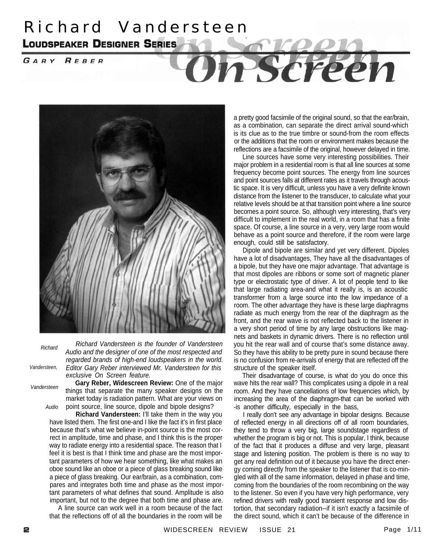## Richard Vandersteen **LOUDSPEAKER DESIGNER SERIES**

GARY REBER

# Scree



*Richard*

*Richard Vandersteen is the founder of Vandersteen Audio and the designer of one of the most respected and regarded brands of high-end loudspeakers in the world. Editor Gary Reber interviewed Mr. Vandersteen for this exclusive On Screen feature.*

*Vandersteen*

*Vandersteen,*

*Audio* **Gary Reber, Widescreen Review:** One of the major things that separate the many speaker designs on the market today is radiation pattern. What are your views on point source, line source, dipole and bipole designs?

**Richard Vandersteen:** I'll take them in the way you have listed them. The first one-and I like the fact it's in first place because that's what we believe in-point source is the most correct in amplitude, time and phase, and I think this is the proper way to radiate energy into a residential space. The reason that I feel it is best is that I think time and phase are the most important parameters of how we hear something, like what makes an oboe sound like an oboe or a piece of glass breaking sound like a piece of glass breaking. Our ear/brain, as a combination, compares and integrates both time and phase as the most important parameters of what defines that sound. Amplitude is also important, but not to the degree that both time and phase are.

A line source can work well in a room because of the fact that the reflections off of all the boundaries in the room will be

a pretty good facsimile of the original sound, so that the ear/brain, as a combination, can separate the direct arrival sound-which is its clue as to the true timbre or sound-from the room effects or the additions that the room or environment makes because the reflections are a facsimile of the original, however delayed in time.

Line sources have some very interesting possibilities. Their major problem in a residential room is that all line sources at some frequency become point sources. The energy from line sources and point sources falls at different rates as it travels through acoustic space. It is very difficult, unless you have a very definite known distance from the listener to the transducer, to calculate what your relative levels should be at that transition point where a line source becomes a point source. So, although very interesting, that's very difficult to implement in the real world, in a room that has a finite space. Of course, a line source in a very, very large room would behave as a point source and therefore, if the room were large enough, could still be satisfactory.

Dipole and bipole are similar and yet very different. Dipoles have a lot of disadvantages, They have all the disadvantages of a bipole, but they have one major advantage. That advantage is that most dipoles are ribbons or some sort of magnetic planer type or electrostatic type of driver. A lot of people tend to like that large radiating area-and what it really is, is an acoustic transformer from a large source into the low impedance of a room. The other advantage they have is these large diaphragms radiate as much energy from the rear of the diaphragm as the front, and the rear wave is not reflected back to the listener in a very short period of time by any large obstructions like magnets and baskets in dynamic drivers. There is no reflection until you hit the rear wall and of course that's some distance away. So they have this ability to be pretty pure in sound because there is no confusion from re-arrivals of energy that are reflected off the structure of the speaker itself.

Their disadvantage of course, is what do you do once this wave hits the rear wall? This complicates using a dipole in a real room. And they have cancellations of low frequencies which, by increasing the area of the diaphragm-that can be worked with -is another difficulty, especially in the bass,

I really don't see any advantage in bipolar designs. Because of reflected energy in all directions off of all room boundaries, they tend to throw a very big, large soundstage regardless of whether the program is big or not. This is popular, I think, because of the fact that it produces a diffuse and very large, pleasant stage and listening position. The problem is there is no way to get any real definition out of it because you have the direct energy coming directly from the speaker to the listener that is co-mingled with all of the same information, delayed in phase and time, coming from the boundaries of the room recombining on the way to the listener. So even if you have very high performance, very refined drivers with really good transient response and low distortion, that secondary radiation--if it isn't exactly a facsimile of the direct sound, which it can't be because of the difference in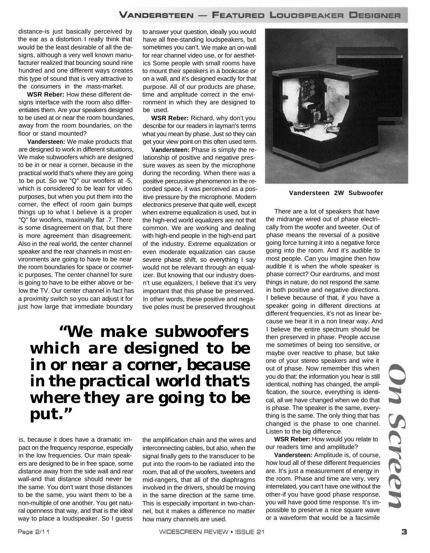distance-is just basically perceived by the ear as a distortion. I really think that would be the least desirable of all the designs, although a very well known manufacturer realized that bouncing sound nine hundred and one different ways creates this type of sound that is very attractive to the consumers in the mass-market.

**WSR Reber:** How these different designs interface with the room also differentiates them. Are your speakers designed to be used at or near the room boundaries, away from the room boundaries, on the floor or stand mounted?

**Vandersteen:** We make products that are designed to work in different situations, We make subwoofers which are designed to be in or near a corner, because in the practical world that's where they are going to be put. So we "Q" our woofers at -5, which is considered to be lean for video purposes, but when you put them into the corner, the effect of room gain bumps things up to what I believe is a proper "Q" for woofers, maximally flat .7. There is some disagreement on that, but there is more agreement than disagreement. Also in the real world, the center channel speaker and the rear channels in most environments are going to have to be near the room boundaries for space or cosmetic purposes, The center channel for sure is going to have to be either above or below the TV. Our center channel in fact has a proximity switch so you can adjust it for just how large that immediate boundary

to answer your question, ideally you would have all free-standing loudspeakers, but sometimes you can't. We make an on-wall for rear channel video use, or for aesthetics Some people with small rooms have to mount their speakers in a bookcase or on a wall, and it's designed exactly for that purpose. All of our products are phase, time and amplitude correct in the environment in which they are designed to be used.

**WSR Reber:** Richard, why don't you describe for our readers in layman's terms what you mean by phase. Just so they can get your view point on this often used term.

**Vandersteen:** Phase is simply the relationship of positive and negative pressure waves as seen by the microphone during the recording. When there was a positive percussive phenomenon in the recorded space, it was perceived as a positive pressure by the microphone. Modern electronics preserve that quite well, except when extreme equalization is used, but in the high-end world equalizers are not that common. We are working and dealing with high-end people in the high-end part of the industry. Extreme equalization or even moderate equalization can cause severe phase shift, so everything I say would not be relevant through an equalizer. But knowing that our industry doesn't use equalizers, I believe that it's very important that this phase be preserved. In other words, these positive and negative poles must be preserved throughout

### *"We make subwoofers which are designed to be in or near a corner, because in the practical world that's where they are going to be put."*

is, because it does have a dramatic impact on the frequency response, especially in the low frequencies. Our main speakers are designed to be in free space, some distance away from the side wall and rear wall-and that distance should never be the same. You don't want those distances to be the same, you want them to be a non-multiple of one another. You get natural openness that way, and that is the ideal way to place a loudspeaker. So I guess

the amplification chain and the wires and interconnecting cables, but also, when the signal finally gets to the transducer to be put into the room-to be radiated into the room, that all of the woofers, tweeters and mid-rangers, that all of the diaphragms involved in the drivers, should be moving in the same direction at the same time. This is especially important in two-channel, but it makes a difference no matter how many channels are used.



**Vandersteen 2W Subwoofer**

There are a lot of speakers that have the midrange wired out of phase electrically from the woofer and tweeter. Out of phase means the reversal of a positive going force turning it into a negative force going into the room. And it's audible to most people. Can you imagine then how audible it is when the whole speaker is phase correct? Our eardrums, and most things in nature, do not respond the same in both positive and negative directions. I believe because of that, if you have a speaker going in different directions at different frequencies, it's not as linear because we hear it in a non linear way. And I believe the entire spectrum should be then preserved in phase. People accuse me sometimes of being too sensitive, or maybe over reactive to phase, but take one of your stereo speakers and wire it out of phase. Now remember this when you do that: the information you hear is still identical, nothing has changed, the amplification, the source, everything is identical, all we have changed when we do that is phase. The speaker is the same, everything is the same. The only thing that has changed is the phase to one channel. Listen to the big difference.

**WSR Reber:** How would you relate to our readers time and amplitude?

**Vandersteen:** Amplitude is, of course, how loud all of these different frequencies are. It's just a measurement of energy in the room. Phase and time are very, very interrelated, you can't have one without the other-if you have good phase response, you will have good time response. It's impossible to preserve a nice square wave or a waveform that would be a facsimile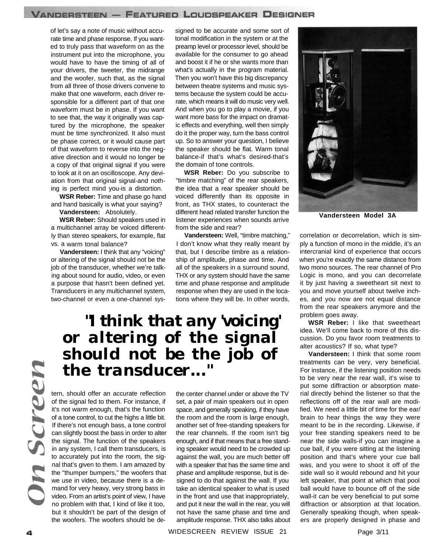of let's say a note of music without accurate time and phase response. If you wanted to truly pass that waveform on as the instrument put into the microphone, you would have to have the timing of all of your drivers, the tweeter, the midrange and the woofer, such that, as the signal from all three of those drivers convene to make that one waveform, each driver responsible for a different part of that one waveform must be in phase. If you want to see that, the way it originally was captured by the microphone, the speaker must be time synchronized. It also must be phase correct, or it would cause part of that waveform to reverse into the negative direction and it would no longer be a copy of that original signal if you were to look at it on an oscilloscope. Any deviation from that original signal-and nothing is perfect mind you-is a distortion.

**WSR Reber:** Time and phase go hand and hand basically is what your saying?

**Vandersteen:** Absolutely.

**WSR Reber:** Should speakers used in a multichannel array be voiced differently than stereo speakers, for example, flat vs. a warm tonal balance?

**Vandersteen:** I think that any "voicing" or altering of the signal should not be the job of the transducer, whether we're talking about sound for audio, video, or even a purpose that hasn't been defined yet. Transducers in any multichannel system, two-channel or even a one-channel syssigned to be accurate and some sort of tonal modification in the system or at the preamp level or processor level, should be available for the consumer to go ahead and boost it if he or she wants more than what's actually in the program material. Then you won't have this big discrepancy between theatre systems and music systems because the system could be accurate, which means it will do music very well. And when you go to play a movie, if you want more bass for the impact on dramatic effects and everything, well then simply do it the proper way, turn the bass control up. So to answer your question, I believe the speaker should be flat. Warm tonal balance-if that's what's desired-that's the domain of tone controls.

**WSR Reber:** Do you subscribe to "timbre matching" of the rear speakers, the idea that a rear speaker should be voiced differently than its opposite in front, as THX states, to counteract the different head related transfer function the listener experiences when sounds arrive from the side and rear?

**Vandersteen:** Well, "timbre matching," I don't know what they really meant by that, but I describe timbre as a relationship of amplitude, phase and time. And all of the speakers in a surround sound, THX or any system should have the same time and phase response and amplitude response when they are used in the locations where they will be. In other words,

### *"I think that any 'voicing' or altering of the signal should not be the job of the transducer..."*

screen

tern, should offer an accurate reflection of the signal fed to them. For instance, if it's not warm enough, that's the function of a tone control, to cut the highs a little bit. If there's not enough bass, a tone control can slightly boost the bass in order to alter the signal. The function of the speakers in any system, I call them transducers, is to accurately put into the room, the signal that's given to them. I am amazed by the "thumper bumpers," the woofers that we use in video, because there is a demand for very heavy, very strong bass in video. From an artist's point of view, I have no problem with that, I kind of like it too, but it shouldn't be part of the design of the woofers. The woofers should be dethe center channel under or above the TV set, a pair of main speakers out in open space, and generally speaking, if they have the room and the room is large enough, another set of free-standing speakers for the rear channels. If the room isn't big enough, and if that means that a free standing speaker would need to be crowded up against the wall, you are much better off with a speaker that has the same time and phase and amplitude response, but is designed to do that against the wall. If you take an identical speaker to what is used in the front and use that inappropriately, and put it near the wall in the rear, you will not have the same phase and time and amplitude response. THX also talks about

WIDESCREEN REVIEW ISSUE 21



**Vandersteen Model 3A**

correlation or decorrelation, which is simply a function of mono in the middle, it's an intercranial kind of experience that occurs when you're exactly the same distance from two mono sources. The rear channel of Pro Logic is mono, and you can decorrelate it by just having a sweetheart sit next to you and move yourself about twelve inches, and you now are not equal distance from the rear speakers anymore and the problem goes away.

**WSR Reber:** I like that sweetheart idea. We'll come back to more of this discussion. Do you favor room treatments to alter acoustics? If so, what type?

**Vandersteen:** I think that some room treatments can be very, very beneficial. For instance, if the listening position needs to be very near the rear wall, it's wise to put some diffraction or absorption material directly behind the listener so that the reflections off of the rear wall are modified. We need a little bit of time for the ear/ brain to hear things the way they were meant to be in the recording. Likewise, if your free standing speakers need to be near the side walls-if you can imagine a cue ball, if you were sitting at the listening position and that's where your cue ball was, and you were to shoot it off of the side wall so it would rebound and hit your left speaker, that point at which that pool ball would have to bounce off of the side wall-it can be very beneficial to put some diffraction or absorption at that location. Generally speaking though, when speakers are properly designed in phase and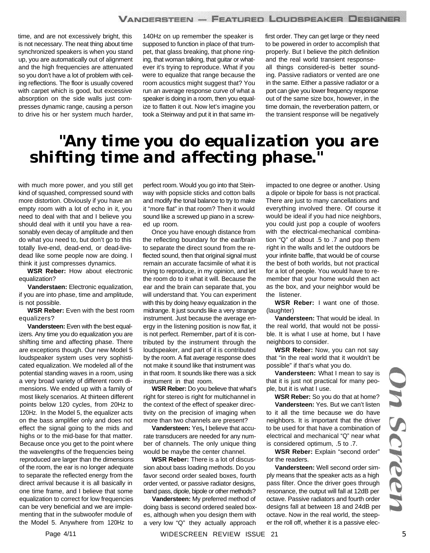time, and are not excessively bright, this is not necessary. The neat thing about time synchronized speakers is when you stand up, you are automatically out of alignment and the high frequencies are attenuated so you don't have a lot of problem with ceiling reflections. The floor is usually covered with carpet which is good, but excessive absorption on the side walls just compresses dynamic range, causing a person to drive his or her system much harder,

140Hz on up remember the speaker is supposed to function in place of that trumpet, that glass breaking, that phone ringing, that woman talking, that guitar or whatever it's trying to reproduce. What if you were to equalize that range because the room acoustics might suggest that? You run an average response curve of what a speaker is doing in a room, then you equalize to flatten it out. Now let's imagine you took a Steinway and put it in that same imfirst order. They can get large or they need to be powered in order to accomplish that properly. But I believe the pitch definition and the real world transient responseall things considered-is better sounding. Passive radiators or vented are one in the same. Either a passive radiator or a port can give you lower frequency response out of the same size box, however, in the time domain, the reverberation pattern, or the transient response will be negatively

### *"Any time you do equalization you are shifting time and affecting phase."*

with much more power, and you still get kind of squashed, compressed sound with more distortion. Obviously if you have an empty room with a lot of echo in it, you need to deal with that and I believe you should deal with it until you have a reasonably even decay of amplitude and then do what you need to, but don't go to this totally live-end, dead-end, or dead-livedead like some people now are doing. I think it just compresses dynamics.

**WSR Reber:** How about electronic equalization?

**Vanderstaen:** Electronic equalization, if you are into phase, time and amplitude, is not possible.

**WSR Reber:** Even with the best room equalizers?

**Vandersteen:** Even with the best equalizers. Any time you do equalization you are shifting time and affecting phase. There are exceptions though. Our new Model 5 loudspeaker system uses very sophisticated equalization. We modeled all of the potential standing waves in a room, using a very broad variety of different room dimensions. We ended up with a family of most likely scenarios. At thirteen different points below 120 cycles, from 20Hz to 120Hz. In the Model 5, the equalizer acts on the bass amplifier only and does not effect the signal going to the mids and highs or to the mid-base for that matter. Because once you get to the point where the wavelengths of the frequencies being reproduced are larger than the dimensions of the room, the ear is no longer adequate to separate the reflected energy from the direct arrival because it is all basically in one time frame, and I believe that some equalization to correct for low frequencies can be very beneficial and we are implementing that in the subwoofer module of the Model 5. Anywhere from 120Hz to

perfect room. Would you go into that Steinway with popsicle sticks and cotton balls and modify the tonal balance to try to make it "more flat" in that room? Then it would sound like a screwed up piano in a screwed up room.

Once you have enough distance from the reflecting boundary for the ear/brain to separate the direct sound from the reflected sound, then that original signal must remain an accurate facsimile of what it is trying to reproduce, in my opinion, and let the room do to it what it will. Because the ear and the brain can separate that, you will understand that. You can experiment with this by doing heavy equalization in the midrange. It just sounds like a very strange instrument. Just because the average energy in the listening position is now flat, it is not perfect. Remember, part of it is contributed by the instrument through the loudspeaker, and part of it is contributed by the room. A flat average response does not make it sound like that instrument was in that room. It sounds like there was a sick instrument in that room.

**WSR Reber:** Do you believe that what's right for stereo is right for multichannel in the context of the effect of speaker directivity on the precision of imaging when more than two channels are present?

**Vandersteen:** Yes**,** I believe that accurate transducers are needed for any number of channels. The only unique thing would be maybe the center channel.

**WSR Reber:** There is a lot of discussion about bass loading methods. Do you favor second order sealed boxes, fourth order vented, or passive radiator designs, band pass, dipole, bipole or other methods?

**Vandersteen:** My preferred method of doing bass is second ordered sealed boxes, although when you design them with a very low "Q" they actually approach

impacted to one degree or another. Using a dipole or bipole for bass is not practical. There are just to many cancellations and everything involved there. Of course it would be ideal if you had nice neighbors, you could just pop a couple of woofers with the electrical-mechanical combination "Q" of about .5 to .7 and pop them right in the walls and let the outdoors be your infinite baffle, that would be of course the best of both worlds, but not practical for a lot of people. You would have to remember that your home would then act as the box, and your neighbor would be the listener.

**WSR Reber:** I want one of those. (laughter)

**Vandersteen:** That would be ideal. In the real world, that would not be possible. It is what I use at home, but I have neighbors to consider.

**WSR Reber:** Now, you can not say that "in the real world that it wouldn't be possible" if that's what you do.

**Vandersteen:** What I mean to say is that it is just not practical for many people, but it is what I use.

**WSR Reber:** So you do that at home?

**Vandersteen:** Yes. But we can't listen to it all the time because we do have neighbors. It is important that the driver to be used for that have a combination of electrical and mechanical "Q" near what is considered optimum, .5 to .7.

**WSR Reber:** Explain "second order" for the readers.

**Vandersteen:** Well second order simply means that the speaker acts as a high pass filter. Once the driver goes through resonance, the output will fall at 12dB per octave. Passive radiators and fourth order designs fall at between 18 and 24dB per octave. Now in the real world, the steeper the roll off, whether it is a passive elec-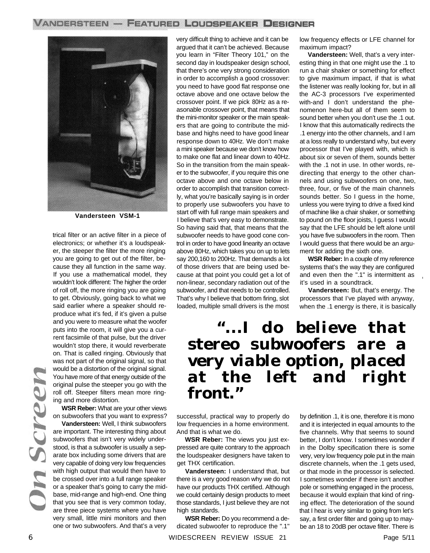

**Vandersteen VSM-1**

trical filter or an active filter in a piece of electronics; or whether it's a loudspeaker, the steeper the filter the more ringing you are going to get out of the filter, because they all function in the same way. If you use a mathematical model, they wouldn't look different: The higher the order of roll off, the more ringing you are going to get. Obviously, going back to what we said earlier where a speaker should reproduce what it's fed, if it's given a pulse and you were to measure what the woofer puts into the room, it will give you a current facsimile of that pulse, but the driver wouldn't stop there, it would reverberate on. That is called ringing. Obviously that was not part of the original signal, so that would be a distortion of the original signal. You have more of that energy outside of the original pulse the steeper you go with the roll off. Steeper filters mean more ringing and more distortion.

**WSR Reber:** What are your other views on subwoofers that you want to express?

**Vandersteen:** Well, I think subwoofers are important. The interesting thing about subwoofers that isn't very widely understood, is that a subwoofer is usually a separate box including some drivers that are very capable of doing very low frequencies with high output that would then have to be crossed over into a full range speaker or a speaker that's going to carry the midbase, mid-range and high-end. One thing that you see that is very common today, are three piece systems where you have very small, little mini monitors and then one or two subwoofers. And that's a very very difficult thing to achieve and it can be argued that it can't be achieved. Because you learn in "Filter Theory 101," on the second day in loudspeaker design school, that there's one very strong consideration in order to accomplish a good crossover: you need to have good flat response one octave above and one octave below the crossover point. If we pick 80Hz as a reasonable crossover point, that means that the mini-monitor speaker or the main speakers that are going to contribute the midbase and highs need to have good linear response down to 40Hz. We don't make a mini speaker because we don't know how to make one flat and linear down to 40Hz. So in the transition from the main speaker to the subwoofer, if you require this one octave above and one octave below in order to accomplish that transition correctly, what you're basically saying is in order to properly use subwoofers you have to start off with full range main speakers and I believe that's very easy to demonstrate. So having said that, that means that the subwoofer needs to have good cone control in order to have good linearity an octave above 80Hz, which takes you on up to lets say 200,160 to 200Hz. That demands a lot of those drivers that are being used because at that point you could get a lot of non-linear, secondary radiation out of the subwoofer, and that needs to be controlled. That's why I believe that bottom firing, slot loaded, multiple small drivers is the most

low frequency effects or LFE channel for maximum impact?

**Vandersteen:** Well, that's a very interesting thing in that one might use the .1 to run a chair shaker or something for effect to give maximum impact, if that is what the listener was really looking for, but in all the AC-3 processors I've experimented with-and I don't understand the phenomenon here-but all of them seem to sound better when you don't use the .1 out. I know that this automatically redirects the .1 energy into the other channels, and I am at a loss really to understand why, but every processor that I've played with, which is about six or seven of them, sounds better with the .1 not in use. In other words, redirecting that energy to the other channels and using subwoofers on one, two, three, four, or five of the main channels sounds better. So I guess in the home, unless you were trying to drive a fixed kind of machine like a chair shaker, or something to pound on the floor joists, I guess I would say that the LFE should be left alone until you have five subwoofers in the room. Then I would guess that there would be an argument for adding the sixth one.

**WSR Reber:** In a couple of my reference systems that's the way they are configured and even then the ".1" is intermittent as it's used in a soundtrack.

**Vandersteen:** But, that's energy. The processors that I've played with anyway, when the .1 energy is there, it is basically

### *"...I do believe that stereo subwoofers are a very viable option, placed at the left and right front."*

successful, practical way to properly do low frequencies in a home environment. And that is what we do.

**WSR Reber:** The views you just expressed are quite contrary to the approach the loudspeaker designers have taken to get THX certification.

**Vandersteen:** I understand that, but there is a very good reason why we do not have our products THX certified. Although we could certainly design products to meet those standards, I just believe they are not high standards.

**WSR Reber:** Do you recommend a dedicated subwoofer to reproduce the ".1"

by definition .1, it is one, therefore it is mono and it is interjected in equal amounts to the five channels. Why that seems to sound better, I don't know. I sometimes wonder if in the Dolby specification there is some very, very low frequency pole put in the main discrete channels, when the .1 gets used, or that mode in the processor is selected. I sometimes wonder if there isn't another pole or something engaged in the process, because it would explain that kind of ringing effect. The deterioration of the sound that I hear is very similar to going from let's say, a first order filter and going up to maybe an 18 to 20dB per octave filter. There is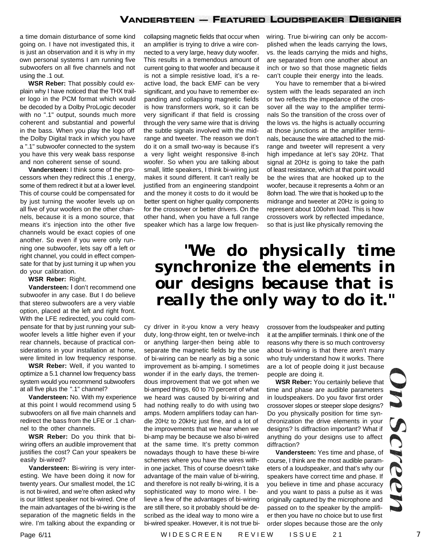a time domain disturbance of some kind going on. I have not investigated this, it is just an observation and it is why in my own personal systems I am running five subwoofers on all five channels and not using the .1 out.

**WSR Reber:** That possibly could explain why I have noticed that the THX trailer logo in the PCM format which would be decoded by a Dolby ProLogic decoder with no ".1" output, sounds much more coherent and substantial and powerful in the bass. When you play the logo off the Dolby Digital track in which you have a ".1" subwoofer connected to the system you have this very weak bass response and non coherent sense of sound.

**Vandersteen:** I think some of the processors when they redirect this .1 energy, some of them redirect it but at a lower level. This of course could be compensated for by just turning the woofer levels up on all five of your woofers on the other channels, because it is a mono source, that means it's injection into the other five channels would be exact copies of one another. So even if you were only running one subwoofer, lets say off a left or right channel, you could in effect compensate for that by just turning it up when you do your calibration.

#### **WSR Reber:** Right.

**Vandersteen:** I don't recommend one subwoofer in any case. But I do believe that stereo subwoofers are a very viable option, placed at the left and right front. With the LFE redirected, you could compensate for that by just running your subwoofer levels a little higher even if your rear channels, because of practical considerations in your installation at home, were limited in low frequency response.

**WSR Reber:** Well, if you wanted to optimize a 5.1 channel low frequency bass system would you recommend subwoofers at all five plus the ".1" channel?

**Vandersteen:** No. With my experience at this point I would recommend using 5 subwoofers on all five main channels and redirect the bass from the LFE or .1 channel to the other channels.

**WSR Reber:** Do you think that biwiring offers an audible improvement that justifies the cost? Can your speakers be easily bi-wired?

**Vandersteen:** Bi-wiring is very interesting. We have been doing it now for twenty years. Our smallest model, the 1C is not bi-wired, and we're often asked why is our littlest speaker not bi-wired. One of the main advantages of the bi-wiring is the separation of the magnetic fields in the wire. I'm talking about the expanding or collapsing magnetic fields that occur when an amplifier is trying to drive a wire connected to a very large, heavy duty woofer. This results in a tremendous amount of current going to that woofer and because it is not a simple resistive load, it's a reactive load, the back EMF can be very significant, and you have to remember expanding and collapsing magnetic fields is how transformers work, so it can be very significant if that field is crossing through the very same wire that is driving the subtle signals involved with the midrange and tweeter. The reason we don't do it on a small two-way is because it's a very light weight responsive 8-inch woofer. So when you are talking about small, little speakers, I think bi-wiring just makes it sound different. It can't really be justified from an engineering standpoint and the money it costs to do it would be better spent on higher quality components for the crossover or better drivers. On the other hand, when you have a full range speaker which has a large low frequenwiring. True bi-wiring can only be accomplished when the leads carrying the lows, vs. the leads carrying the mids and highs, are separated from one another about an inch or two so that those magnetic fields can't couple their energy into the leads.

You have to remember that a bi-wired system with the leads separated an inch or two reflects the impedance of the crossover all the way to the amplifier terminals So the transition of the cross over of the lows vs. the highs is actually occurring at those junctions at the amplifier terminals, because the wire attached to the midrange and tweeter will represent a very high impedance at let's say 20Hz. That signal at 20Hz is going to take the path of least resistance, which at that point would be the wires that are hooked up to the woofer, because it represents a 4ohm or an 8ohm load. The wire that is hooked up to the midrange and tweeter at 20Hz is going to represent about 100ohm load. This is how crossovers work by reflected impedance, so that is just like physically removing the

### *"We do physically time synchronize the elements in our designs because that is really the only way to do it."*

cy driver in it-you know a very heavy duty, long-throw eight, ten or twelve-inch or anything larger-then being able to separate the magnetic fields by the use of bi-wiring can be nearly as big a sonic improvement as bi-amping. I sometimes wonder if in the early days, the tremendous improvement that we got when we bi-amped things, 60 to 70 percent of what we heard was caused by bi-wiring and had nothing really to do with using two amps. Modern amplifiers today can handle 20Hz to 20kHz just fine, and a lot of the improvements that we hear when we bi-amp may be because we also bi-wired at the same time. It's pretty common nowadays though to have these bi-wire schemes where you have the wires within one jacket. This of course doesn't take advantage of the main value of bi-wiring, and therefore is not really bi-wiring, it is a sophisticated way to mono wire. I believe a few of the advantages of bi-wiring are still there, so it probably should be described as the ideal way to mono wire a bi-wired speaker. However, it is not true bicrossover from the loudspeaker and putting it at the amplifier terminals. I think one of the reasons why there is so much controversy about bi-wiring is that there aren't many who truly understand how it works. There are a lot of people doing it just because people are doing it.

**WSR Reber:** You certainly believe that time and phase are audible parameters in loudspeakers. Do you favor first order crossover slopes or steeper slope designs? Do you physically position for time synchronization the drive elements in your designs? Is diffraction important? What if anything do your designs use to affect diffraction?

**Vandersteen:** Yes time and phase, of course, I think are the most audible parameters of a loudspeaker, and that's why our speakers have correct time and phase. If you believe in time and phase accuracy and you want to pass a pulse as it was originally captured by the microphone and passed on to the speaker by the amplifier then you have no choice but to use first order slopes because those are the only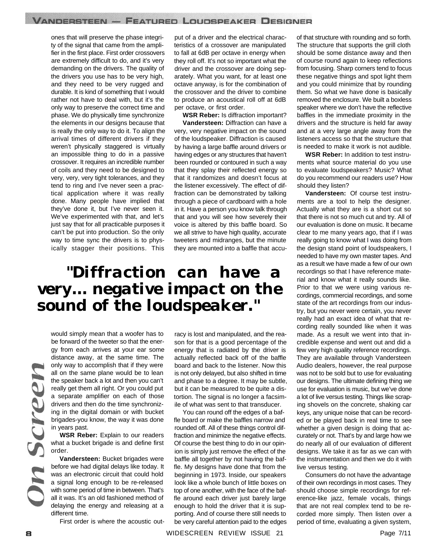ones that will preserve the phase integrity of the signal that came from the amplifier in the first place. First order crossovers are extremely difficult to do, and it's very demanding on the drivers. The quality of the drivers you use has to be very high, and they need to be very rugged and durable. It is kind of something that I would rather not have to deal with, but it's the only way to preserve the correct time and phase. We do physically time synchronize the elements in our designs because that is really the only way to do it. To align the arrival times of different drivers if they weren't physically staggered is virtually an impossible thing to do in a passive crossover. It requires an incredible number of coils and they need to be designed to very, very, very tight tolerances, and they tend to ring and I've never seen a practical application where it was really done. Many people have implied that they've done it, but I've never seen it. We've experimented with that, and let's just say that for all practicable purposes it can't be put into production. So the only way to time sync the drivers is to physically stagger their positions. This

put of a driver and the electrical characteristics of a crossover are manipulated to fall at 6dB per octave in energy when they roll off. It's not so important what the driver and the crossover are doing separately. What you want, for at least one octave anyway, is for the combination of the crossover and the driver to combine to produce an acoustical roll off at 6dB per octave, or first order.

**WSR Reber:** Is diffraction important? **Vandersteen:** Diffraction can have a very, very negative impact on the sound of the loudspeaker. Diffraction is caused by having a large baffle around drivers or having edges or any structures that haven't been rounded or contoured in such a way that they splay their reflected energy so that it randomizes and doesn't focus at the listener excessively. The effect of diffraction can be demonstrated by talking through a piece of cardboard with a hole in it. Have a person you know talk through that and you will see how severely their voice is altered by this baffle board. So we all strive to have high quality, accurate tweeters and midranges, but the minute they are mounted into a baffle that accu-

### *"Diffraction can have a very... negative impact on the sound of the loudspeaker."*

would simply mean that a woofer has to be forward of the tweeter so that the energy from each arrives at your ear some distance away, at the same time. The only way to accomplish that if they were all on the same plane would be to lean the speaker back a lot and then you can't really get them all right. Or you could put a separate amplifier on each of those drivers and then do the time synchronizing in the digital domain or with bucket brigades-you know, the way it was done in years past.

**WSR Reber:** Explain to our readers what a bucket brigade is and define first order.

**Vandersteen:** Bucket brigades were before we had digital delays like today. It was an electronic circuit that could hold a signal long enough to be re-released with some period of time in between. That's all it was. It's an old fashioned method of delaying the energy and releasing at a different time.

First order is where the acoustic out-

racy is lost and manipulated, and the reason for that is a good percentage of the energy that is radiated by the driver is actually reflected back off of the baffle board and back to the listener. Now this is not only delayed, but also shifted in time and phase to a degree. It may be subtle, but it can be measured to be quite a distortion. The signal is no longer a facsimile of what was sent to that transducer.

You can round off the edges of a baffle board or make the baffles narrow and rounded off. All of these things control diffraction and minimize the negative effects. Of course the best thing to do in our opinion is simply just remove the effect of the baffle all together by not having the baffle. My designs have done that from the beginning in 1973. Inside, our speakers look like a whole bunch of little boxes on top of one another, with the face of the baffle around each driver just barely large enough to hold the driver that it is supporting. And of course there still needs to be very careful attention paid to the edges of that structure with rounding and so forth. The structure that supports the grill cloth should be some distance away and then of course round again to keep reflections from focusing. Sharp corners tend to focus these negative things and spot light them and you could minimize that by rounding them. So what we have done is basically removed the enclosure. We built a boxless speaker where we don't have the reflective baffles in the immediate proximity in the drivers and the structure is held far away and at a very large angle away from the listeners access so that the structure that is needed to make it work is not audible.

**WSR Reber:** In addition to test instruments what source material do you use to evaluate loudspeakers? Music? What do you recommend our readers use? How should they listen?

**Vandersteen:** Of course test instruments are a tool to help the designer. Actually what they are is a short cut so that there is not so much cut and try. All of our evaluation is done on music. It became clear to me many years ago, that if I was really going to know what I was doing from the design stand point of loudspeakers, I needed to have my own master tapes. And as a result we have made a few of our own recordings so that I have reference material and know what it really sounds like. Prior to that we were using various recordings, commercial recordings, and some state of the art recordings from our industry, but you never were certain, you never really had an exact idea of what that recording really sounded like when it was made. As a result we went into that incredible expense and went out and did a few very high quality reference recordings. They are available through Vandersteen Audio dealers, however, the real purpose was not to be sold but to use for evaluating our designs. The ultimate defining thing we use for evaluation is music, but we've done a lot of live versus testing. Things like scraping shovels on the concrete, shaking car keys, any unique noise that can be recorded or be played back in real time to see whether a given design is doing that accurately or not. That's by and large how we do nearly all of our evaluation of different designs. We take it as far as we can with the instrumentation and then we do it with live versus testing.

Consumers do not have the advantage of their own recordings in most cases. They should choose simple recordings for reference-like jazz, female vocals, things that are not real complex tend to be recorded more simply. Then listen over a period of time, evaluating a given system,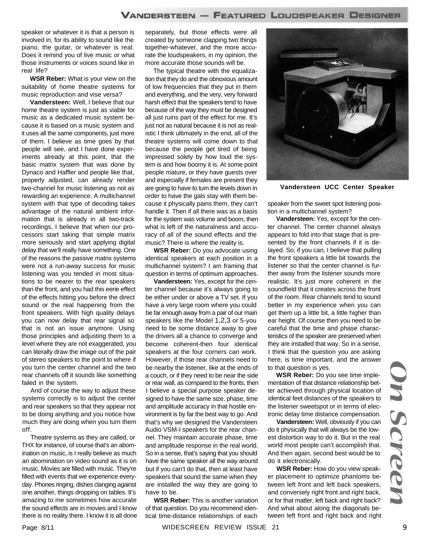speaker or whatever it is that a person is involved in, for its ability to sound like the piano, the guitar, or whatever is real. Does it remind you of live music or what those instruments or voices sound like in real life?

**WSR Reber:** What is your view on the suitability of home theatre systems for music reproduction and vise versa?

**Vandersteen:** Well, I believe that our home theatre system is just as viable for music as a dedicated music system because it is based on a music system and it uses all the same components, just more of them. I believe as time goes by that people will see, and I have done experiments already at this point, that the basic matrix system that was done by Dynaco and Haffler and people like that, properly adjusted, can already render two-channel for music listening as not as rewarding an experience. A multichannel system with that type of decoding takes advantage of the natural ambient information that is already in all two-track recordings, I believe that when our processors start taking that simple matrix more seriously and start applying digital delay that we'll really have something. One of the reasons the passive matrix systems were not a run-away success for music listening was you tended in most situations to be nearer to the rear speakers than the front, and you had this eerie effect of the effects hitting you before the direct sound or the real happening from the front speakers. With high quality delays you can now delay that rear signal so that is not an issue anymore. Using those principles and adjusting them to a level where they are not exaggerated, you can literally draw the image out of the pair of stereo speakers to the point to where if you turn the center channel and the two rear channels off it sounds like something failed in the system.

And of course the way to adjust these systems correctly is to adjust the center and rear speakers so that they appear not to be doing anything and you notice how much they are doing when you turn them off.

Theatre systems as they are called, or THX for instance, of course that's an abomination on music, is I really believe as much an abomination on video sound as it is on music. Movies are filled with music. They're filled with events that we experience everyday. Phones ringing, dishes clanging against one another, things dropping on tables. It's amazing to me sometimes how accurate the sound effects are in movies and I know there is no reality there. I know it is all done separately, but those effects were all created by someone clapping two things together-whatever, and the more accurate the loudspeakers, in my opinion, the more accurate those sounds will be.

The typical theatre with the equalization that they do and the obnoxious amount of low frequencies that they put in them and everything, and the very, very forward harsh effect that the speakers tend to have because of the way they must be designed all just ruins part of the effect for me. It's just not as natural because it is not as realistic I think ultimately in the end, all of the theatre systems will come down to that because the people get tired of being impressed solely by how loud the system is and how boomy it is. At some point people mature, or they have guests over and especially if females are present they are going to have to turn the levels down in order to have the gals stay with them because it physically pains them, they can't handle it. Then if all there was as a basis for the system was volume and boom, then what is left of the naturalness and accuracy of all of the sound effects and the music? There is where the reality is.

**WSR Reber:** Do you advocate using identical speakers at each position in a multichannel system? I am framing that question in terms of optimum approaches.

**Vandersteen:** Yes, except for the center channel because it's always going to be either under or above a TV set. If you have a very large room where you could be far enough away from a pair of our main speakers like the Model 1,2,3 or 5-you need to be some distance away to give the drivers all a chance to converge and become coherent-then four identical speakers at the four corners can work. However, if those rear channels need to be nearby the listener, like at the ends of a couch, or if they need to be near the side or rear wall, as compared to the fronts, then I believe a special purpose speaker designed to have the same size, phase, time and amplitude accuracy in that hostile environment is by far the best way to go. And that's why we designed the Vandersteen Audio VSM-I speakers for the rear channel. They maintain accurate phase, time and amplitude response in the real world. So in a sense, that's saying that you should have the same speaker all the way around but if you can't do that, then at least have speakers that sound the same when they are installed the way they are going to have to be.

**WSR Reber:** This is another variation of that question. Do you recommend identical time-distance relationships of each



**Vandersteen UCC Center Speaker**

speaker from the sweet spot listening position in a multichannel system?

**Vandersteen:** Yes, except for the center channel. The center channel always appears to fold into that stage that is presented by the front channels if it is delayed. So, if you can, I believe that pulling the front speakers a little bit towards the listener so that the center channel is further away from the listener sounds more realistic. It's just more coherent in the soundfield that it creates across the front of the room. Rear channels tend to sound better in my experience when you can get them up a little bit, a little higher than ear height. Of course then you need to be careful that the time and phase characteristics of the speaker are preserved when they are installed that way. So in a sense, I think that the question you are asking here, is time important, and the answer to that question is yes.

**WSR Reber:** Do you see time implementation of that distance relationship better achieved through physical location of identical feet distances of the speakers to the listener sweetspot or in terms of electronic delay time distance compensation.

**Vandersteen:** Well, obviously if you can do it physically that will always be the lowest distortion way to do it. But in the real world most people can't accomplish that. And then again, second best would be to do it electronically.

**WSR Reber:** How do you view speaker placement to optimize phantoms between left front and left back speakers, and conversely right front and right back, or for that matter, left back and right back? And what about along the diagonals between left front and right back and right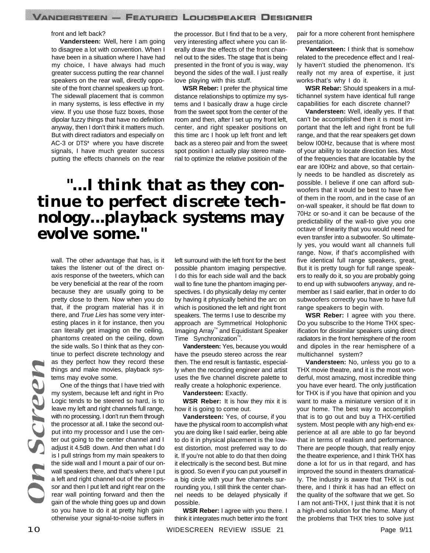#### front and left back?

**Vandersteen:** Well, here I am going to disagree a lot with convention. When I have been in a situation where I have had my choice, I have always had much greater success putting the rear channel speakers on the rear wall, directly opposite of the front channel speakers up front. The sidewall placement that is common in many systems, is less effective in my view. If you use those fuzz boxes, those dipolar fuzzy things that have no definition anyway, then I don't think it matters much. But with direct radiators and especially on AC-3 or DTS\* where you have discrete signals. I have much greater success putting the effects channels on the rear

the processor. But I find that to be a very, very interesting affect where you can literally draw the effects of the front channel out to the sides. The stage that is being presented in the front of you is way, way beyond the sides of the wall. I just really love playing with this stuff.

**WSR Reber:** I prefer the physical time distance relationships to optimize my systems and I basically draw a huge circle from the sweet spot from the center of the room and then, after I set up my front left, center, and right speaker positions on this time arc I hook up left front and left back as a stereo pair and from the sweet spot position I actually play stereo material to optimize the relative positioin of the

### *"...I think that as they continue to perfect discrete technology...playback systems may evolve some."*

wall. The other advantage that has, is it takes the listener out of the direct onaxis response of the tweeters, which can be very beneficial at the rear of the room because they are usually going to be pretty close to them. Now when you do that, if the program material has it in there, and *True Lies* has some very interesting places in it for instance, then you can literally get imaging on the ceiling, phantoms created on the ceiling, down the side walls. So I think that as they continue to perfect discrete technology and as they perfect how they record these things and make movies, playback systems may evolve some.

One of the things that I have tried with my system, because left and right in Pro Logic tends to be steered so hard, is to leave my left and right channels full range, with no processing. I don't run them through the processor at all. I take the second output into my processor and I use the center out going to the center channel and I adjust it 4.5dB down. And then what I do is I pull strings from my main speakers to the side wall and I mount a pair of our onwall speakers there, and that's where I put a left and right channel out of the processor and then I put left and right rear on the rear wall pointing forward and then the gain of the whole thing goes up and down so you have to do it at pretty high gain otherwise your signal-to-noise suffers in

left surround with the left front for the best possible phantom imaging perspective. I do this for each side wall and the back wall to fine tune the phantom imaging perspectives. I do physically delay my center by having it physically behind the arc on which is positioned the left and right front speakers. The terms I use to describe my approach are Symmetrical Holophonic Imaging Array™ and Equidistant Speaker Time Synchronization $^{\mathbb{M}}$ .

**Vandersteen:** Yes, because you would have the pseudo stereo across the rear then. The end result is fantastic, especially when the recording engineer and artist uses the five channel discrete palette to really create a holophonic experience.

**Vandersteen:** Exactly.

**WSR Reber:** It is how they mix it is how it is going to come out.

**Vandersteen:** Yes, of course, if you have the physical room to accomplish what you are doing like I said earlier, being able to do it in physical placement is the Iowest distortion, most preferred way to do it. If you're not able to do that then doing it electrically is the second best. But mine is good. So even if you can put yourself in a big circle with your five channels surrounding you, I still think the center channel needs to be delayed physically if possible.

**WSR Reber:** I agree with you there. I think it integrates much better into the front pair for a more coherent front hemisphere presentation.

**Vandersteen:** I think that is somehow related to the precedence effect and I really haven't studied the phenomenon. It's really not my area of expertise, it just works-that's why I do it.

**WSR Rebar:** Should speakers in a multichannel system have identical full range capabilities for each discrete channel?

**Vandersteen:** Well, ideally yes. If that can't be accomplished then it is most important that the left and right front be full range, and that the rear speakers get down below I00Hz, because that is where most of your ability to locate direction lies. Most of the frequencies that are locatable by the ear are I00Hz and above, so that certainly needs to be handled as discretely as possible. I believe if one can afford subwoofers that it would be best to have five of them in the room, and in the case of an on-wall speaker, it should be flat down to 70Hz or so-and it can be because of the predictability of the wall-to give you one octave of linearity that you would need for even transfer into a subwoofer. So ultimately yes, you would want all channels full range. Now, if that's accomplished with five identical full range speakers, great, But it is pretty tough for full range speakers to really do it, so you are probably going to end up with subwoofers anyway, and remember as I said earlier, that in order to do subwoofers correctly you have to have full range speakers to begin with.

**WSR Reber:** I agree with you there. Do you subscribe to the Home THX specification for dissimilar speakers using direct radiators in the front hemisphere of the room and dipoles in the rear hemisphere of a multichannel system?

**Vandersteen:** No, unless you go to a THX movie theatre, and it is the most wonderful, most amazing, most incredible thing you have ever heard. The only justification for THX is if you have that opinion and you want to make a miniature version of it in your home. The best way to accomplish that is to go out and buy a THX-certified system. Most people with any high-end experience at all are able to go far beyond that in terms of realism and performance. There are people though, that really enjoy the theatre experience, and I think THX has done a lot for us in that regard, and has improved the sound in theaters dramatically. The industry is aware that THX is out there, and I think it has had an effect on the quality of the software that we get. So I am not anti-THX, I just think that it is not a high-end solution for the home. Many of the problems that THX tries to solve just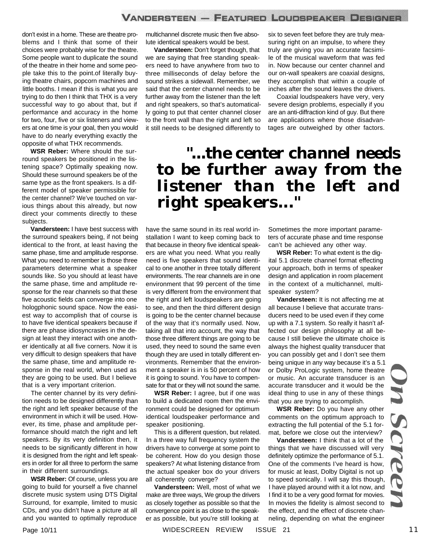don't exist in a home. These are theatre problems and I think that some of their choices were probably wise for the theatre. Some people want to duplicate the sound of the theatre in their home and some people take this to the point.of literally buying theatre chairs, popcorn machines and little booths. I mean if this is what you are trying to do then I think that THX is a very successful way to go about that, but if performance and accuracy in the home for two, four, five or six listeners and viewers at one time is your goal, then you would have to do nearly everything exactly the opposite of what THX recommends.

**WSR Reber:** Where should the surround speakers be positioned in the listening space? Optimally speaking now. Should these surround speakers be of the same type as the front speakers. Is a different model of speaker permissible for the center channel? We've touched on various things about this already, but now direct your comments directly to these subjects.

**Vandersteen:** I have best success with the surround speakers being, if not being identical to the front, at least having the same phase, time and amplitude response. What you need to remember is those three parameters determine what a speaker sounds like. So you should at least have the same phase, time and amplitude response for the rear channels so that these five acoustic fields can converge into one hologphonic sound space. Now the easiest way to accomplish that of course is to have five identical speakers because if there are phase idiosyncrasies in the design at least they interact with one another identically at all five corners. Now it is very difficult to design speakers that have the same phase, time and amplitude response in the real world, when used as they are going to be used. But I believe that is a very important criterion.

The center channel by its very definition needs to be designed differently than the right and left speaker because of the environment in which it will be used. However, its time, phase and amplitude performance should match the right and left speakers. By its very definition then, it needs to be significantly different in how it is designed from the right and left speakers in order for all three to perform the same in their different surroundings.

**WSR Reber:** Of course, unless you are going to build for yourself a five channel discrete music system using DTS Digital Surround, for example, limited to music CDs, and you didn't have a picture at all and you wanted to optimally reproduce

multichannel discrete music then five absolute identical speakers would be best.

**Vandersteen:** Don't forget though, that we are saying that free standing speakers need to have anywhere from two to three milliseconds of delay before the sound strikes a sidewall. Remember, we said that the center channel needs to be further away from the listener than the left and right speakers, so that's automatically going to put that center channel closer to the front wall than the right and left so it still needs to be designed differently to

six to seven feet before they are truly measuring right on an impulse, to where they truly are giving you an accurate facsimile of the musical waveform that was fed in. Now because our center channel and our on-wall speakers are coaxial designs, they accomplish that within a couple of inches after the sound leaves the drivers.

Coaxial loudspeakers have very, very severe design problems, especially if you are an anti-diffraction kind of guy. But there are applications where those disadvantages are outweighed by other factors.

### *"...the center channel needs to be further away from the listener than the left and right speakers..."*

have the same sound in its real world installation I want to keep coming back to that because in theory five identical speakers are what you need. What you really need is five speakers that sound identical to one another in three totally different environments. The rear channels are in one environment that 99 percent of the time is very different from the environment that the right and left loudspeakers are going to see, and then the third different design is going to be the center channel because of the way that it's normally used. Now, taking all that into account, the way that those three different things are going to be used, they need to sound the same even though they are used in totally different environments. Remember that the environment a speaker is in is 50 percent of how it is going to sound. You have to compensate for that or they will not sound the same.

**WSR Reber:** I agree, but if one was to build a dedicated room then the environment could be designed for optimum identical loudspeaker performance and speaker positioning.

This is a different question, but related. In a three way full frequency system the drivers have to converge at some point to be coherent. How do you design those speakers? At what listening distance from the actual speaker box do your drivers all coherently converge?

**Vandersteen:** Well, most of what we make are three ways, We group the drivers as closely together as possible so that the convergence point is as close to the speaker as possible, but you're still looking at

Sometimes the more important parameters of accurate phase and time response can't be achieved any other way.

**WSR Reber:** To what extent is the digital 5.1 discrete channel format effecting your approach, both in terms of speaker design and application in room placement in the context of a multichannel, multispeaker system?

**Vandersteen:** It is not affecting me at all because I believe that accurate transducers need to be used even if they come up with a 7.1 system. So really it hasn't affected our design philosophy at all because I still believe the ultimate choice is always the highest quality transducer that you can possibly get and I don't see them being unique in any way because it's a 5.1 or Dolby ProLogic system, home theatre or music. An accurate transducer is an accurate transducer and it would be the ideal thing to use in any of these things that you are trying to accomplish.

**WSR Reber:** Do you have any other comments on the optimum approach to extracting the full potential of the 5.1 format, before we close out the interview?

**Vandersteen:** I think that a lot of the things that we have discussed will very definitely optimize the performance of 5.1. One of the comments I've heard is how, for music at least, Dolby Digital is not up to speed sonically. I will say this though, I have played around with it a lot now, and I find it to be a very good format for movies. In movies the fidelity is almost second to the effect, and the effect of discrete channeling, depending on what the engineer